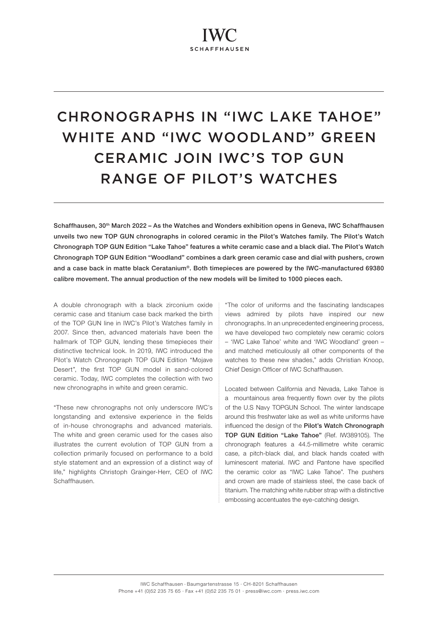# CHRONOGRAPHS IN "IWC LAKE TAHOE" WHITE AND "IWC WOODLAND" GREEN CERAMIC JOIN IWC'S TOP GUN RANGE OF PILOT'S WATCHES

Schaffhausen, 30th March 2022 – As the Watches and Wonders exhibition opens in Geneva, IWC Schaffhausen unveils two new TOP GUN chronographs in colored ceramic in the Pilot's Watches family. The Pilot's Watch Chronograph TOP GUN Edition "Lake Tahoe" features a white ceramic case and a black dial. The Pilot's Watch Chronograph TOP GUN Edition "Woodland" combines a dark green ceramic case and dial with pushers, crown and a case back in matte black Ceratanium®. Both timepieces are powered by the IWC-manufactured 69380 calibre movement. The annual production of the new models will be limited to 1000 pieces each.

A double chronograph with a black zirconium oxide ceramic case and titanium case back marked the birth of the TOP GUN line in IWC's Pilot's Watches family in 2007. Since then, advanced materials have been the hallmark of TOP GUN, lending these timepieces their distinctive technical look. In 2019, IWC introduced the Pilot's Watch Chronograph TOP GUN Edition "Mojave Desert", the first TOP GUN model in sand-colored ceramic. Today, IWC completes the collection with two new chronographs in white and green ceramic.

"These new chronographs not only underscore IWC's longstanding and extensive experience in the fields of in-house chronographs and advanced materials. The white and green ceramic used for the cases also illustrates the current evolution of TOP GUN from a collection primarily focused on performance to a bold style statement and an expression of a distinct way of life," highlights Christoph Grainger-Herr, CEO of IWC Schaffhausen.

"The color of uniforms and the fascinating landscapes views admired by pilots have inspired our new chronographs. In an unprecedented engineering process, we have developed two completely new ceramic colors – 'IWC Lake Tahoe' white and 'IWC Woodland' green – and matched meticulously all other components of the watches to these new shades," adds Christian Knoop, Chief Design Officer of IWC Schaffhausen.

Located between California and Nevada, Lake Tahoe is a mountainous area frequently flown over by the pilots of the U.S Navy TOPGUN School. The winter landscape around this freshwater lake as well as white uniforms have influenced the design of the Pilot's Watch Chronograph TOP GUN Edition "Lake Tahoe" (Ref. IW389105). The chronograph features a 44.5-millimetre white ceramic case, a pitch-black dial, and black hands coated with luminescent material. IWC and Pantone have specified the ceramic color as "IWC Lake Tahoe". The pushers and crown are made of stainless steel, the case back of titanium. The matching white rubber strap with a distinctive embossing accentuates the eye-catching design.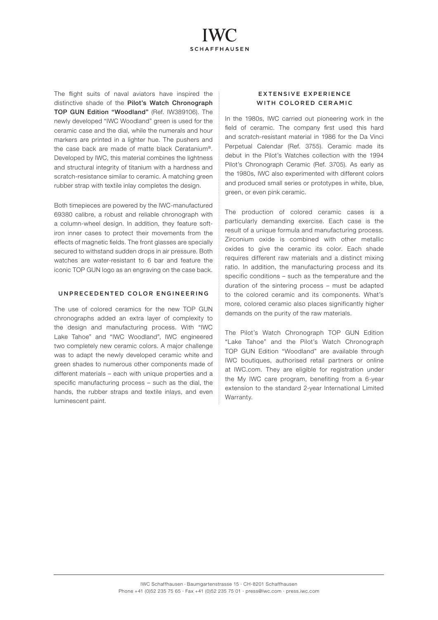

The flight suits of naval aviators have inspired the distinctive shade of the Pilot's Watch Chronograph TOP GUN Edition "Woodland" (Ref. IW389106). The newly developed "IWC Woodland" green is used for the ceramic case and the dial, while the numerals and hour markers are printed in a lighter hue. The pushers and the case back are made of matte black Ceratanium®. Developed by IWC, this material combines the lightness and structural integrity of titanium with a hardness and scratch-resistance similar to ceramic. A matching green rubber strap with textile inlay completes the design.

Both timepieces are powered by the IWC-manufactured 69380 calibre, a robust and reliable chronograph with a column-wheel design. In addition, they feature softiron inner cases to protect their movements from the effects of magnetic fields. The front glasses are specially secured to withstand sudden drops in air pressure. Both watches are water-resistant to 6 bar and feature the iconic TOP GUN logo as an engraving on the case back.

### UNPRECEDENTED COLOR ENGINEERING

The use of colored ceramics for the new TOP GUN chronographs added an extra layer of complexity to the design and manufacturing process. With "IWC Lake Tahoe" and "IWC Woodland", IWC engineered two completely new ceramic colors. A major challenge was to adapt the newly developed ceramic white and green shades to numerous other components made of different materials – each with unique properties and a specific manufacturing process – such as the dial, the hands, the rubber straps and textile inlays, and even luminescent paint.

## EXTENSIVE EXPERIENCE WITH COLORED CERAMIC

In the 1980s, IWC carried out pioneering work in the field of ceramic. The company first used this hard and scratch-resistant material in 1986 for the Da Vinci Perpetual Calendar (Ref. 3755). Ceramic made its debut in the Pilot's Watches collection with the 1994 Pilot's Chronograph Ceramic (Ref. 3705). As early as the 1980s, IWC also experimented with different colors and produced small series or prototypes in white, blue, green, or even pink ceramic.

The production of colored ceramic cases is a particularly demanding exercise. Each case is the result of a unique formula and manufacturing process. Zirconium oxide is combined with other metallic oxides to give the ceramic its color. Each shade requires different raw materials and a distinct mixing ratio. In addition, the manufacturing process and its specific conditions – such as the temperature and the duration of the sintering process – must be adapted to the colored ceramic and its components. What's more, colored ceramic also places significantly higher demands on the purity of the raw materials.

The Pilot's Watch Chronograph TOP GUN Edition "Lake Tahoe" and the Pilot's Watch Chronograph TOP GUN Edition "Woodland" are available through IWC boutiques, authorised retail partners or online at IWC.com. They are eligible for registration under the My IWC care program, benefiting from a 6-year extension to the standard 2-year International Limited Warranty.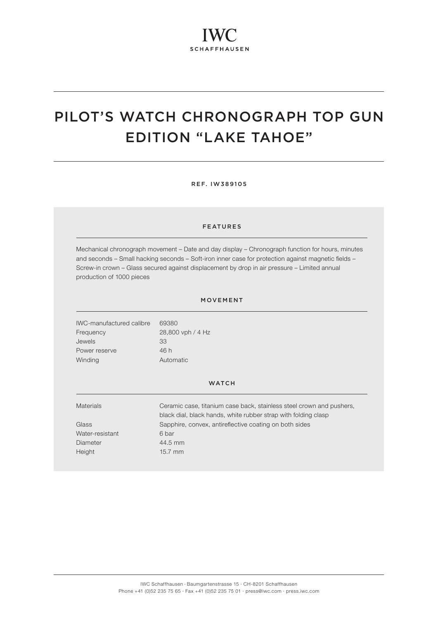# PILOT'S WATCH CHRONOGRAPH TOP GUN EDITION "LAKE TAHOE"

REF. IW389105

#### FEATURES

Mechanical chronograph movement – Date and day display – Chronograph function for hours, minutes and seconds – Small hacking seconds – Soft-iron inner case for protection against magnetic fields – Screw-in crown – Glass secured against displacement by drop in air pressure – Limited annual production of 1000 pieces

### MOVEMENT

IWC-manufactured calibre 69380 Frequency 28,800 vph / 4 Hz Jewels 33 Power reserve 46 h Winding **Automatic** 

#### **WATCH**

| <b>Materials</b> | Ceramic case, titanium case back, stainless steel crown and pushers,<br>black dial, black hands, white rubber strap with folding clasp |
|------------------|----------------------------------------------------------------------------------------------------------------------------------------|
| Glass            | Sapphire, convex, antireflective coating on both sides                                                                                 |
| Water-resistant  | 6 bar                                                                                                                                  |
| Diameter         | 44.5 mm                                                                                                                                |
| Height           | $15.7$ mm                                                                                                                              |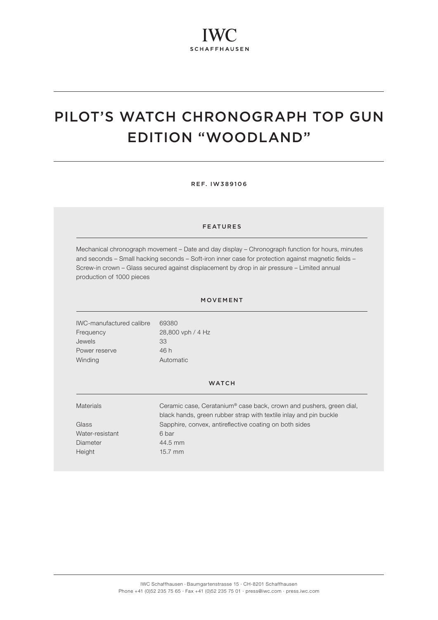# PILOT'S WATCH CHRONOGRAPH TOP GUN EDITION "WOODLAND"

REF. IW389106

#### FEATURES

Mechanical chronograph movement – Date and day display – Chronograph function for hours, minutes and seconds – Small hacking seconds – Soft-iron inner case for protection against magnetic fields – Screw-in crown – Glass secured against displacement by drop in air pressure – Limited annual production of 1000 pieces

### MOVEMENT

IWC-manufactured calibre 69380 Frequency 28,800 vph / 4 Hz Jewels 33 Power reserve 46 h Winding **Automatic** 

#### **WATCH**

| Ceramic case, Ceratanium® case back, crown and pushers, green dial,<br>black hands, green rubber strap with textile inlay and pin buckle |
|------------------------------------------------------------------------------------------------------------------------------------------|
| Sapphire, convex, antireflective coating on both sides                                                                                   |
| 6 bar                                                                                                                                    |
| 44.5 mm                                                                                                                                  |
| $15.7$ mm                                                                                                                                |
|                                                                                                                                          |